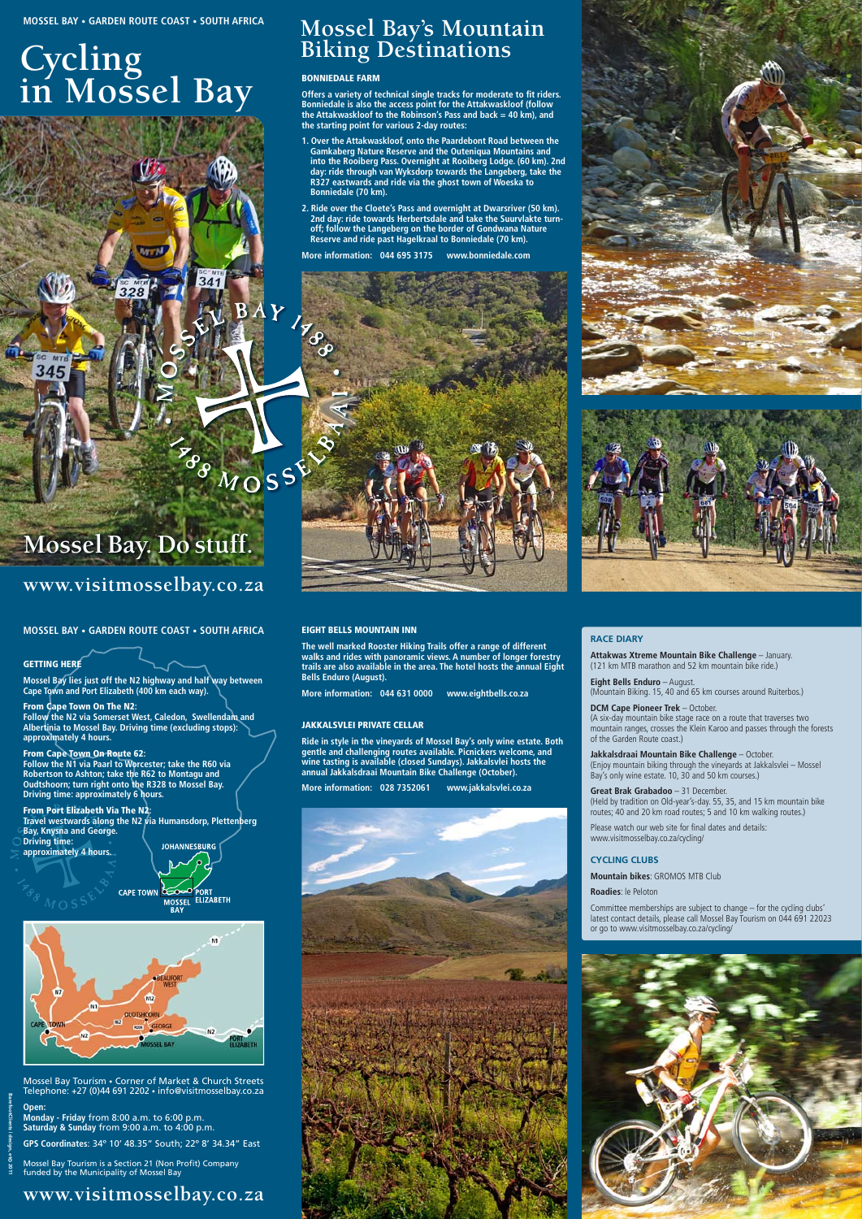**www.visitmosselbay.co.za**

# **Cycling in Mossel Bay**

**Mossel Bay. Do stuff.**

### **GETTING HERE**

## **www.visitmosselbay.co.za**

**BarefootClients | design, et© 2011**

Mossel Bay Tourism is a Section 21 (Non Profit) Company funded by the Municipality of Mossel Bay

#### **Open:**

**Monday - Friday** from 8:00 a.m. to 6:00 p.m. **Saturday & Sunday** from 9:00 a.m. to 4:00 p.m.

**GPS Coordinates**: 34º 10' 48.35" South; 22º 8' 34.34" East

Mossel Bay Tourism • Corner of Market & Church Streets Telephone: +27 (0)44 691 2202 • info@visitmosselbay.co.za

**Mossel Bay lies just off the N2 highway and half way between Cape Town and Port Elizabeth (400 km each way).**

#### From Cape Town On The N2**: Follow the N2 via Somerset West, Caledon, Swellendam and Albertinia to Mossel Bay. Driving time (excluding stops): approximately 4 hours.**

From Cape Town On Route 62**:** 

**Follow the N1 via Paarl to Worcester; take the R60 via Robertson to Ashton; take the R62 to Montagu and Oudtshoorn; turn right onto the R328 to Mossel Bay. Driving time: approximately 6 hours.**

### From Port Elizabeth Via The N2**:**

**Travel westwards along the N2 via Humansdorp, Plettenberg Bay, Knysna and George. Driving time: JOHANNESBURG approximately 4 hours.**



### **MOSSEL BAY • GARDEN ROUTE COAST • SOUTH AFRICA**

### Bonniedale Farm

**Offers a variety of technical single tracks for moderate to fit riders. Bonniedale is also the access point for the Attakwaskloof (follow the Attakwaskloof to the Robinson's Pass and back = 40 km), and the starting point for various 2-day routes:** 

- **1. Over the Attakwaskloof, onto the Paardebont Road between the Gamkaberg Nature Reserve and the Outeniqua Mountains and into the Rooiberg Pass. Overnight at Rooiberg Lodge. (60 km). 2nd day: ride through van Wyksdorp towards the Langeberg, take the R327 eastwards and ride via the ghost town of Woeska to Bonniedale (70 km).**
- **2. Ride over the Cloete's Pass and overnight at Dwarsriver (50 km). 2nd day: ride towards Herbertsdale and take the Suurvlakte turnoff; follow the Langeberg on the border of Gondwana Nature Reserve and ride past Hagelkraal to Bonniedale (70 km).**

**More information: 044 695 3175 www.bonniedale.com** 





AS MOSSE

### Eight Bells Mountain Inn

**The well marked Rooster Hiking Trails offer a range of different walks and rides with panoramic views. A number of longer forestry trails are also available in the area. The hotel hosts the annual Eight Bells Enduro (August).**

**More information: 044 631 0000 www.eightbells.co.za**

### Jakkalsvlei Private Cellar

**Ride in style in the vineyards of Mossel Bay's only wine estate. Both gentle and challenging routes available. Picnickers welcome, and wine tasting is available (closed Sundays). Jakkalsvlei hosts the annual Jakkalsdraai Mountain Bike Challenge (October).**

**More information: 028 7352061 www.jakkalsvlei.co.za** 



# **Mossel Bay's Mountain Biking Destinations**

### **Race Diary**

**Attakwas Xtreme Mountain Bike Challenge** – January. (121 km MTB marathon and 52 km mountain bike ride.)

**Eight Bells Enduro** – August. (Mountain Biking. 15, 40 and 65 km courses around Ruiterbos.)

### **DCM Cape Pioneer Trek** – October.

(A six-day mountain bike stage race on a route that traverses two mountain ranges, crosses the Klein Karoo and passes through the forests of the Garden Route coast.)

**Jakkalsdraai Mountain Bike Challenge** – October. (Enjoy mountain biking through the vineyards at Jakkalsvlei – Mossel Bay's only wine estate. 10, 30 and 50 km courses.)

#### **Great Brak Grabadoo** – 31 December.

(Held by tradition on Old-year's-day. 55, 35, and 15 km mountain bike routes; 40 and 20 km road routes; 5 and 10 km walking routes.)

Please watch our web site for final dates and details: www.visitmosselbay.co.za/cycling/

### **Cycling Clubs**

**Mountain bikes**: GROMOS MTB Club

**Roadies**: le Peloton

Committee memberships are subject to change – for the cycling clubs' latest contact details, please call Mossel Bay Tourism on 044 691 22023



or go to www.visitmosselbay.co.za/cycling/